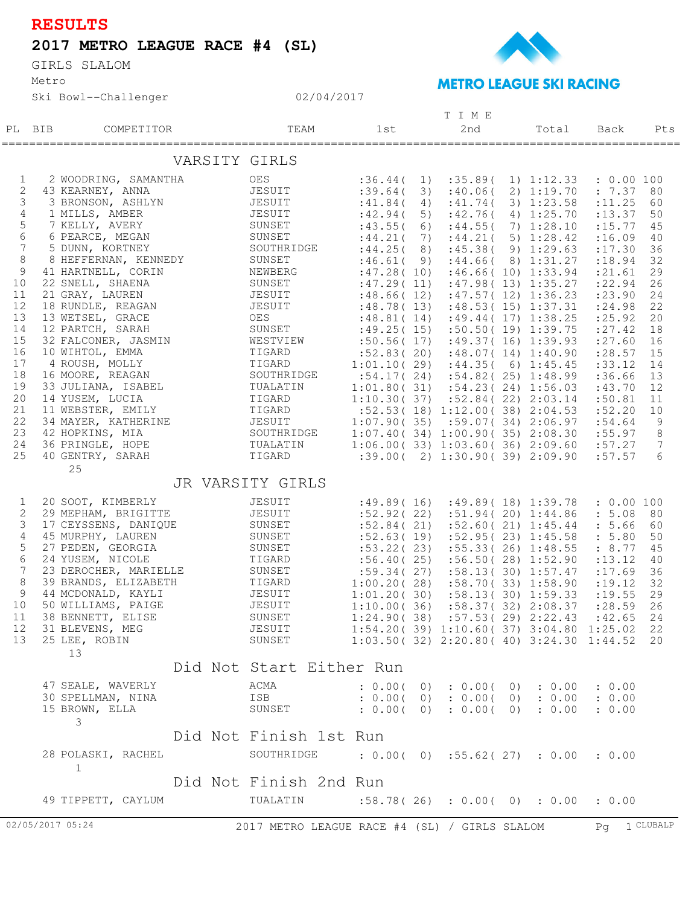## **RESULTS**

## **2017 METRO LEAGUE RACE #4 (SL)**

Metro GIRLS SLALOM





## **METRO LEAGUE SKI RACING**

| 2nd<br>TEAM<br>1st<br>PL BIB<br>COMPETITOR<br>Total<br>Back<br>VARSITY GIRLS<br>$\mathbf{1}$<br>2 WOODRING, SAMANTHA<br>OES<br>:36.44(<br>1)<br>:35.89(1)1:12.33<br>: 0.00 100<br>2<br>43 KEARNEY, ANNA<br>JESUIT<br>:39.64(<br>:40.06(2)1:19.70<br>: 7.37 80<br>3)<br>3<br>3 BRONSON, ASHLYN<br>JESUIT<br>:41.84(<br>:41.74(<br>3) 1:23.58<br>: 11.25<br>60<br>4)<br>4<br>1 MILLS, AMBER<br>JESUIT<br>:42.94(<br>5)<br>:42.76(4)1:25.70<br>: 13.37<br>50<br>5<br>7 KELLY, AVERY<br>SUNSET<br>:44.55(<br>7) 1:28.10<br>: 15.77<br>:43.55(6)<br>45<br>6<br>6 PEARCE, MEGAN<br>SUNSET<br>:44.21(5)1:28.42<br>:16.09<br>:44.21(<br>7)<br>40<br>$7\phantom{.0}$<br>5 DUNN, KORTNEY<br>SOUTHRIDGE<br>:45.38(9)1:29.63<br>36<br>:44.25(8)<br>: 17.30<br>8<br>8 HEFFERNAN, KENNEDY<br>SUNSET<br>:46.61(9)<br>:44.66(8)1:31.27<br>: 18.94<br>32<br>$\overline{9}$<br>41 HARTNELL, CORIN<br>NEWBERG<br>:47.28(10)<br>:46.66(10)1:33.94<br>: 21.61<br>29<br>SUNSET<br>10<br>22 SNELL, SHAENA<br>:47.29(11)<br>:47.98(13)1:35.27<br>: 22.94<br>26<br>11<br>21 GRAY, LAUREN<br>JESUIT<br>:48.66(12)<br>:47.57(12)1:36.23<br>: 23.90<br>24<br>12<br>18 RUNDLE, REAGAN<br>13 WETSEL GRACE<br>JESUIT<br>:48.78(13)<br>:48.53(15)1:37.31<br>: 24.98<br>22<br>13<br>13 WETSEL, GRACE<br>OES<br>$: 48.81(14)$ $: 49.44(17)$ $1:38.25$<br>: 25.92<br>20<br>14<br>12 PARTCH, SARAH<br>SUNSET<br>$:49.25(15)$ $:50.50(19)$ $1:39.75$<br>: 27.42 18<br>15<br>32 FALCONER, JASMIN<br>WESTVIEW<br>:50.56(17)<br>$:49.37($ 16) 1:39.93<br>: 27.60<br>16<br>16<br>10 WIHTOL, EMMA<br>TIGARD<br>:52.83(20)<br>:48.07(14)1:40.90<br>$: 28.57$ 15<br>17<br>4 ROUSH, MOLLY<br>TIGARD<br>$1:01.10(29)$ : 44.35(6) 1:45.45<br>: 33.12<br>14<br>18<br>16 MOORE, REAGAN<br>SOUTHRIDGE<br>$:54.17(24)$ $:54.82(25)$ $1:48.99$<br>:36.66<br>13<br>19<br>33 JULIANA, ISABEL<br>TUALATIN<br>$1:01.80(31)$ $:54.23(24)$ $1:56.03$<br>12<br>:43.70<br>20<br>14 YUSEM, LUCIA<br>TIGARD<br>$1:10.30(37)$ $:52.84(22)$ $2:03.14$<br>:50.81<br>11<br>21<br>11 WEBSTER, EMILY<br>TIGARD<br>$:52.53(18)$ $1:12.00(38)$ $2:04.53$<br>:52.20<br>10<br>22<br>34 MAYER, KATHERINE<br>JESUIT<br>$1:07.90(35)$ $:59.07(34)$ $2:06.97$<br>:54.64<br>$\overline{9}$<br>23<br>42 HOPKINS, MIA<br>SOUTHRIDGE<br>1:07.40(34)1:00.90(35)2:08.30<br>:55.97<br>8<br>24<br>36 PRINGLE, HOPE<br>TUALATIN<br>1:06.00(33)1:03.60(36)2:09.60<br>7<br>:57.27<br>25<br>40 GENTRY, SARAH<br>TIGARD<br>6<br>$:39.00($ 2) 1:30.90(39) 2:09.90<br>:57.57<br>25<br>JR VARSITY GIRLS<br>$\mathbf{1}$<br>20 SOOT, KIMBERLY<br>JESUIT<br>$:49.89(16)$ $:49.89(18)$ $1:39.78$<br>: 0.00 100<br>2<br>29 MEPHAM, BRIGITTE<br>JESUIT<br>:52.92(22)<br>:51.94(20)1:44.86<br>: 5.08 80<br>3<br>17 CEYSSENS, DANIQUE<br>SUNSET<br>:52.84(21)<br>:52.60(21)1:45.44<br>: 5.66<br>60<br>4<br>45 MURPHY, LAUREN<br>SUNSET<br>:52.95(23)1:45.58<br>:52.63(19)<br>: 5.80<br>50<br>5<br>27 PEDEN, GEORGIA<br>SUNSET<br>:53.22(23)<br>:55.33(26)1:48.55<br>: 8.77<br>45<br>6<br>24 YUSEM, NICOLE<br>TIGARD<br>:56.40(25)<br>:56.50(28)1:52.90<br>: 13.12<br>40<br>SUNSET<br>7<br>23 DEROCHER, MARIELLE<br>:59.34(27)<br>:58.13(30)1:57.47<br>: 17.69<br>36<br>8<br>39 BRANDS, ELIZABETH<br>TIGARD<br>JESUIT<br>1:00.20(28)<br>:58.70(33)1:58.90<br>: 19.12<br>32<br>$\mathcal{G}$<br>44 MCDONALD, KAYLI<br>1:01.20(30)<br>:58.13(30)1:59.33<br>: 19.55<br>29<br>10<br>50 WILLIAMS, PAIGE<br>JESUIT<br>1:10.00(36)<br>$:58.37(32)$ 2:08.37<br>:28.59<br>26<br>11<br>38 BENNETT, ELISE<br>SUNSET<br>$1:24.90(38)$ $:57.53(29)$ $2:22.43$<br>:42.65<br>24<br>31 BLEVENS, MEG<br>$12 \,$<br>JESUIT<br>1:54.20(39) 1:10.60(37) 3:04.80 1:25.02 22<br>13<br>25 LEE, ROBIN<br>SUNSET<br>$1:03.50(32)$ $2:20.80(40)$ $3:24.30$ $1:44.52$ 20<br>13<br>Did Not Start Either Run<br>47 SEALE, WAVERLY<br>ACMA<br>: 0.00(0) : 0.00(0) : 0.00 : 0.00<br>30 SPELLMAN, NINA<br>ISB<br>: 0.00(0) : 0.00(0) : 0.00 : 0.00<br>15 BROWN, ELLA<br>SUNSET<br>$: 0.00($ 0) $: 0.00($ 0) $: 0.00$<br>: 0.00<br>3<br>Did Not Finish 1st Run<br>28 POLASKI, RACHEL<br>SOUTHRIDGE<br>: 0.00(0) : 55.62(27) : 0.00: 0.00<br>$\mathbf{1}$<br>Did Not Finish 2nd Run<br>49 TIPPETT, CAYLUM<br>TUALATIN<br>:58.78(26) : 0.00(0) : 0.00 : 0.00<br>Pq 1 CLUBALP<br>2017 METRO LEAGUE RACE #4 (SL) / GIRLS SLALOM |                  |  |  |  | T I M E |  |  |  |  |  |  |  |     |
|----------------------------------------------------------------------------------------------------------------------------------------------------------------------------------------------------------------------------------------------------------------------------------------------------------------------------------------------------------------------------------------------------------------------------------------------------------------------------------------------------------------------------------------------------------------------------------------------------------------------------------------------------------------------------------------------------------------------------------------------------------------------------------------------------------------------------------------------------------------------------------------------------------------------------------------------------------------------------------------------------------------------------------------------------------------------------------------------------------------------------------------------------------------------------------------------------------------------------------------------------------------------------------------------------------------------------------------------------------------------------------------------------------------------------------------------------------------------------------------------------------------------------------------------------------------------------------------------------------------------------------------------------------------------------------------------------------------------------------------------------------------------------------------------------------------------------------------------------------------------------------------------------------------------------------------------------------------------------------------------------------------------------------------------------------------------------------------------------------------------------------------------------------------------------------------------------------------------------------------------------------------------------------------------------------------------------------------------------------------------------------------------------------------------------------------------------------------------------------------------------------------------------------------------------------------------------------------------------------------------------------------------------------------------------------------------------------------------------------------------------------------------------------------------------------------------------------------------------------------------------------------------------------------------------------------------------------------------------------------------------------------------------------------------------------------------------------------------------------------------------------------------------------------------------------------------------------------------------------------------------------------------------------------------------------------------------------------------------------------------------------------------------------------------------------------------------------------------------------------------------------------------------------------------------------------------------------------------------------------------------------------------------------------------------------------------------------------------------------------------------------------------------------------------------------------------------------------------------------------------------------------------------------------------------------------------------------------------------------------------------------------------------------------------------------------------------------------------------------------------------------------------------------------------------------------------------------------------------------------------------------------------------------------|------------------|--|--|--|---------|--|--|--|--|--|--|--|-----|
|                                                                                                                                                                                                                                                                                                                                                                                                                                                                                                                                                                                                                                                                                                                                                                                                                                                                                                                                                                                                                                                                                                                                                                                                                                                                                                                                                                                                                                                                                                                                                                                                                                                                                                                                                                                                                                                                                                                                                                                                                                                                                                                                                                                                                                                                                                                                                                                                                                                                                                                                                                                                                                                                                                                                                                                                                                                                                                                                                                                                                                                                                                                                                                                                                                                                                                                                                                                                                                                                                                                                                                                                                                                                                                                                                                                                                                                                                                                                                                                                                                                                                                                                                                                                                                                                                        |                  |  |  |  |         |  |  |  |  |  |  |  | Pts |
|                                                                                                                                                                                                                                                                                                                                                                                                                                                                                                                                                                                                                                                                                                                                                                                                                                                                                                                                                                                                                                                                                                                                                                                                                                                                                                                                                                                                                                                                                                                                                                                                                                                                                                                                                                                                                                                                                                                                                                                                                                                                                                                                                                                                                                                                                                                                                                                                                                                                                                                                                                                                                                                                                                                                                                                                                                                                                                                                                                                                                                                                                                                                                                                                                                                                                                                                                                                                                                                                                                                                                                                                                                                                                                                                                                                                                                                                                                                                                                                                                                                                                                                                                                                                                                                                                        |                  |  |  |  |         |  |  |  |  |  |  |  |     |
|                                                                                                                                                                                                                                                                                                                                                                                                                                                                                                                                                                                                                                                                                                                                                                                                                                                                                                                                                                                                                                                                                                                                                                                                                                                                                                                                                                                                                                                                                                                                                                                                                                                                                                                                                                                                                                                                                                                                                                                                                                                                                                                                                                                                                                                                                                                                                                                                                                                                                                                                                                                                                                                                                                                                                                                                                                                                                                                                                                                                                                                                                                                                                                                                                                                                                                                                                                                                                                                                                                                                                                                                                                                                                                                                                                                                                                                                                                                                                                                                                                                                                                                                                                                                                                                                                        |                  |  |  |  |         |  |  |  |  |  |  |  |     |
|                                                                                                                                                                                                                                                                                                                                                                                                                                                                                                                                                                                                                                                                                                                                                                                                                                                                                                                                                                                                                                                                                                                                                                                                                                                                                                                                                                                                                                                                                                                                                                                                                                                                                                                                                                                                                                                                                                                                                                                                                                                                                                                                                                                                                                                                                                                                                                                                                                                                                                                                                                                                                                                                                                                                                                                                                                                                                                                                                                                                                                                                                                                                                                                                                                                                                                                                                                                                                                                                                                                                                                                                                                                                                                                                                                                                                                                                                                                                                                                                                                                                                                                                                                                                                                                                                        |                  |  |  |  |         |  |  |  |  |  |  |  |     |
|                                                                                                                                                                                                                                                                                                                                                                                                                                                                                                                                                                                                                                                                                                                                                                                                                                                                                                                                                                                                                                                                                                                                                                                                                                                                                                                                                                                                                                                                                                                                                                                                                                                                                                                                                                                                                                                                                                                                                                                                                                                                                                                                                                                                                                                                                                                                                                                                                                                                                                                                                                                                                                                                                                                                                                                                                                                                                                                                                                                                                                                                                                                                                                                                                                                                                                                                                                                                                                                                                                                                                                                                                                                                                                                                                                                                                                                                                                                                                                                                                                                                                                                                                                                                                                                                                        |                  |  |  |  |         |  |  |  |  |  |  |  |     |
|                                                                                                                                                                                                                                                                                                                                                                                                                                                                                                                                                                                                                                                                                                                                                                                                                                                                                                                                                                                                                                                                                                                                                                                                                                                                                                                                                                                                                                                                                                                                                                                                                                                                                                                                                                                                                                                                                                                                                                                                                                                                                                                                                                                                                                                                                                                                                                                                                                                                                                                                                                                                                                                                                                                                                                                                                                                                                                                                                                                                                                                                                                                                                                                                                                                                                                                                                                                                                                                                                                                                                                                                                                                                                                                                                                                                                                                                                                                                                                                                                                                                                                                                                                                                                                                                                        |                  |  |  |  |         |  |  |  |  |  |  |  |     |
|                                                                                                                                                                                                                                                                                                                                                                                                                                                                                                                                                                                                                                                                                                                                                                                                                                                                                                                                                                                                                                                                                                                                                                                                                                                                                                                                                                                                                                                                                                                                                                                                                                                                                                                                                                                                                                                                                                                                                                                                                                                                                                                                                                                                                                                                                                                                                                                                                                                                                                                                                                                                                                                                                                                                                                                                                                                                                                                                                                                                                                                                                                                                                                                                                                                                                                                                                                                                                                                                                                                                                                                                                                                                                                                                                                                                                                                                                                                                                                                                                                                                                                                                                                                                                                                                                        |                  |  |  |  |         |  |  |  |  |  |  |  |     |
|                                                                                                                                                                                                                                                                                                                                                                                                                                                                                                                                                                                                                                                                                                                                                                                                                                                                                                                                                                                                                                                                                                                                                                                                                                                                                                                                                                                                                                                                                                                                                                                                                                                                                                                                                                                                                                                                                                                                                                                                                                                                                                                                                                                                                                                                                                                                                                                                                                                                                                                                                                                                                                                                                                                                                                                                                                                                                                                                                                                                                                                                                                                                                                                                                                                                                                                                                                                                                                                                                                                                                                                                                                                                                                                                                                                                                                                                                                                                                                                                                                                                                                                                                                                                                                                                                        |                  |  |  |  |         |  |  |  |  |  |  |  |     |
|                                                                                                                                                                                                                                                                                                                                                                                                                                                                                                                                                                                                                                                                                                                                                                                                                                                                                                                                                                                                                                                                                                                                                                                                                                                                                                                                                                                                                                                                                                                                                                                                                                                                                                                                                                                                                                                                                                                                                                                                                                                                                                                                                                                                                                                                                                                                                                                                                                                                                                                                                                                                                                                                                                                                                                                                                                                                                                                                                                                                                                                                                                                                                                                                                                                                                                                                                                                                                                                                                                                                                                                                                                                                                                                                                                                                                                                                                                                                                                                                                                                                                                                                                                                                                                                                                        |                  |  |  |  |         |  |  |  |  |  |  |  |     |
|                                                                                                                                                                                                                                                                                                                                                                                                                                                                                                                                                                                                                                                                                                                                                                                                                                                                                                                                                                                                                                                                                                                                                                                                                                                                                                                                                                                                                                                                                                                                                                                                                                                                                                                                                                                                                                                                                                                                                                                                                                                                                                                                                                                                                                                                                                                                                                                                                                                                                                                                                                                                                                                                                                                                                                                                                                                                                                                                                                                                                                                                                                                                                                                                                                                                                                                                                                                                                                                                                                                                                                                                                                                                                                                                                                                                                                                                                                                                                                                                                                                                                                                                                                                                                                                                                        |                  |  |  |  |         |  |  |  |  |  |  |  |     |
|                                                                                                                                                                                                                                                                                                                                                                                                                                                                                                                                                                                                                                                                                                                                                                                                                                                                                                                                                                                                                                                                                                                                                                                                                                                                                                                                                                                                                                                                                                                                                                                                                                                                                                                                                                                                                                                                                                                                                                                                                                                                                                                                                                                                                                                                                                                                                                                                                                                                                                                                                                                                                                                                                                                                                                                                                                                                                                                                                                                                                                                                                                                                                                                                                                                                                                                                                                                                                                                                                                                                                                                                                                                                                                                                                                                                                                                                                                                                                                                                                                                                                                                                                                                                                                                                                        |                  |  |  |  |         |  |  |  |  |  |  |  |     |
|                                                                                                                                                                                                                                                                                                                                                                                                                                                                                                                                                                                                                                                                                                                                                                                                                                                                                                                                                                                                                                                                                                                                                                                                                                                                                                                                                                                                                                                                                                                                                                                                                                                                                                                                                                                                                                                                                                                                                                                                                                                                                                                                                                                                                                                                                                                                                                                                                                                                                                                                                                                                                                                                                                                                                                                                                                                                                                                                                                                                                                                                                                                                                                                                                                                                                                                                                                                                                                                                                                                                                                                                                                                                                                                                                                                                                                                                                                                                                                                                                                                                                                                                                                                                                                                                                        |                  |  |  |  |         |  |  |  |  |  |  |  |     |
|                                                                                                                                                                                                                                                                                                                                                                                                                                                                                                                                                                                                                                                                                                                                                                                                                                                                                                                                                                                                                                                                                                                                                                                                                                                                                                                                                                                                                                                                                                                                                                                                                                                                                                                                                                                                                                                                                                                                                                                                                                                                                                                                                                                                                                                                                                                                                                                                                                                                                                                                                                                                                                                                                                                                                                                                                                                                                                                                                                                                                                                                                                                                                                                                                                                                                                                                                                                                                                                                                                                                                                                                                                                                                                                                                                                                                                                                                                                                                                                                                                                                                                                                                                                                                                                                                        |                  |  |  |  |         |  |  |  |  |  |  |  |     |
|                                                                                                                                                                                                                                                                                                                                                                                                                                                                                                                                                                                                                                                                                                                                                                                                                                                                                                                                                                                                                                                                                                                                                                                                                                                                                                                                                                                                                                                                                                                                                                                                                                                                                                                                                                                                                                                                                                                                                                                                                                                                                                                                                                                                                                                                                                                                                                                                                                                                                                                                                                                                                                                                                                                                                                                                                                                                                                                                                                                                                                                                                                                                                                                                                                                                                                                                                                                                                                                                                                                                                                                                                                                                                                                                                                                                                                                                                                                                                                                                                                                                                                                                                                                                                                                                                        |                  |  |  |  |         |  |  |  |  |  |  |  |     |
|                                                                                                                                                                                                                                                                                                                                                                                                                                                                                                                                                                                                                                                                                                                                                                                                                                                                                                                                                                                                                                                                                                                                                                                                                                                                                                                                                                                                                                                                                                                                                                                                                                                                                                                                                                                                                                                                                                                                                                                                                                                                                                                                                                                                                                                                                                                                                                                                                                                                                                                                                                                                                                                                                                                                                                                                                                                                                                                                                                                                                                                                                                                                                                                                                                                                                                                                                                                                                                                                                                                                                                                                                                                                                                                                                                                                                                                                                                                                                                                                                                                                                                                                                                                                                                                                                        |                  |  |  |  |         |  |  |  |  |  |  |  |     |
|                                                                                                                                                                                                                                                                                                                                                                                                                                                                                                                                                                                                                                                                                                                                                                                                                                                                                                                                                                                                                                                                                                                                                                                                                                                                                                                                                                                                                                                                                                                                                                                                                                                                                                                                                                                                                                                                                                                                                                                                                                                                                                                                                                                                                                                                                                                                                                                                                                                                                                                                                                                                                                                                                                                                                                                                                                                                                                                                                                                                                                                                                                                                                                                                                                                                                                                                                                                                                                                                                                                                                                                                                                                                                                                                                                                                                                                                                                                                                                                                                                                                                                                                                                                                                                                                                        |                  |  |  |  |         |  |  |  |  |  |  |  |     |
|                                                                                                                                                                                                                                                                                                                                                                                                                                                                                                                                                                                                                                                                                                                                                                                                                                                                                                                                                                                                                                                                                                                                                                                                                                                                                                                                                                                                                                                                                                                                                                                                                                                                                                                                                                                                                                                                                                                                                                                                                                                                                                                                                                                                                                                                                                                                                                                                                                                                                                                                                                                                                                                                                                                                                                                                                                                                                                                                                                                                                                                                                                                                                                                                                                                                                                                                                                                                                                                                                                                                                                                                                                                                                                                                                                                                                                                                                                                                                                                                                                                                                                                                                                                                                                                                                        |                  |  |  |  |         |  |  |  |  |  |  |  |     |
|                                                                                                                                                                                                                                                                                                                                                                                                                                                                                                                                                                                                                                                                                                                                                                                                                                                                                                                                                                                                                                                                                                                                                                                                                                                                                                                                                                                                                                                                                                                                                                                                                                                                                                                                                                                                                                                                                                                                                                                                                                                                                                                                                                                                                                                                                                                                                                                                                                                                                                                                                                                                                                                                                                                                                                                                                                                                                                                                                                                                                                                                                                                                                                                                                                                                                                                                                                                                                                                                                                                                                                                                                                                                                                                                                                                                                                                                                                                                                                                                                                                                                                                                                                                                                                                                                        |                  |  |  |  |         |  |  |  |  |  |  |  |     |
|                                                                                                                                                                                                                                                                                                                                                                                                                                                                                                                                                                                                                                                                                                                                                                                                                                                                                                                                                                                                                                                                                                                                                                                                                                                                                                                                                                                                                                                                                                                                                                                                                                                                                                                                                                                                                                                                                                                                                                                                                                                                                                                                                                                                                                                                                                                                                                                                                                                                                                                                                                                                                                                                                                                                                                                                                                                                                                                                                                                                                                                                                                                                                                                                                                                                                                                                                                                                                                                                                                                                                                                                                                                                                                                                                                                                                                                                                                                                                                                                                                                                                                                                                                                                                                                                                        |                  |  |  |  |         |  |  |  |  |  |  |  |     |
|                                                                                                                                                                                                                                                                                                                                                                                                                                                                                                                                                                                                                                                                                                                                                                                                                                                                                                                                                                                                                                                                                                                                                                                                                                                                                                                                                                                                                                                                                                                                                                                                                                                                                                                                                                                                                                                                                                                                                                                                                                                                                                                                                                                                                                                                                                                                                                                                                                                                                                                                                                                                                                                                                                                                                                                                                                                                                                                                                                                                                                                                                                                                                                                                                                                                                                                                                                                                                                                                                                                                                                                                                                                                                                                                                                                                                                                                                                                                                                                                                                                                                                                                                                                                                                                                                        |                  |  |  |  |         |  |  |  |  |  |  |  |     |
|                                                                                                                                                                                                                                                                                                                                                                                                                                                                                                                                                                                                                                                                                                                                                                                                                                                                                                                                                                                                                                                                                                                                                                                                                                                                                                                                                                                                                                                                                                                                                                                                                                                                                                                                                                                                                                                                                                                                                                                                                                                                                                                                                                                                                                                                                                                                                                                                                                                                                                                                                                                                                                                                                                                                                                                                                                                                                                                                                                                                                                                                                                                                                                                                                                                                                                                                                                                                                                                                                                                                                                                                                                                                                                                                                                                                                                                                                                                                                                                                                                                                                                                                                                                                                                                                                        |                  |  |  |  |         |  |  |  |  |  |  |  |     |
|                                                                                                                                                                                                                                                                                                                                                                                                                                                                                                                                                                                                                                                                                                                                                                                                                                                                                                                                                                                                                                                                                                                                                                                                                                                                                                                                                                                                                                                                                                                                                                                                                                                                                                                                                                                                                                                                                                                                                                                                                                                                                                                                                                                                                                                                                                                                                                                                                                                                                                                                                                                                                                                                                                                                                                                                                                                                                                                                                                                                                                                                                                                                                                                                                                                                                                                                                                                                                                                                                                                                                                                                                                                                                                                                                                                                                                                                                                                                                                                                                                                                                                                                                                                                                                                                                        |                  |  |  |  |         |  |  |  |  |  |  |  |     |
|                                                                                                                                                                                                                                                                                                                                                                                                                                                                                                                                                                                                                                                                                                                                                                                                                                                                                                                                                                                                                                                                                                                                                                                                                                                                                                                                                                                                                                                                                                                                                                                                                                                                                                                                                                                                                                                                                                                                                                                                                                                                                                                                                                                                                                                                                                                                                                                                                                                                                                                                                                                                                                                                                                                                                                                                                                                                                                                                                                                                                                                                                                                                                                                                                                                                                                                                                                                                                                                                                                                                                                                                                                                                                                                                                                                                                                                                                                                                                                                                                                                                                                                                                                                                                                                                                        |                  |  |  |  |         |  |  |  |  |  |  |  |     |
|                                                                                                                                                                                                                                                                                                                                                                                                                                                                                                                                                                                                                                                                                                                                                                                                                                                                                                                                                                                                                                                                                                                                                                                                                                                                                                                                                                                                                                                                                                                                                                                                                                                                                                                                                                                                                                                                                                                                                                                                                                                                                                                                                                                                                                                                                                                                                                                                                                                                                                                                                                                                                                                                                                                                                                                                                                                                                                                                                                                                                                                                                                                                                                                                                                                                                                                                                                                                                                                                                                                                                                                                                                                                                                                                                                                                                                                                                                                                                                                                                                                                                                                                                                                                                                                                                        |                  |  |  |  |         |  |  |  |  |  |  |  |     |
|                                                                                                                                                                                                                                                                                                                                                                                                                                                                                                                                                                                                                                                                                                                                                                                                                                                                                                                                                                                                                                                                                                                                                                                                                                                                                                                                                                                                                                                                                                                                                                                                                                                                                                                                                                                                                                                                                                                                                                                                                                                                                                                                                                                                                                                                                                                                                                                                                                                                                                                                                                                                                                                                                                                                                                                                                                                                                                                                                                                                                                                                                                                                                                                                                                                                                                                                                                                                                                                                                                                                                                                                                                                                                                                                                                                                                                                                                                                                                                                                                                                                                                                                                                                                                                                                                        |                  |  |  |  |         |  |  |  |  |  |  |  |     |
|                                                                                                                                                                                                                                                                                                                                                                                                                                                                                                                                                                                                                                                                                                                                                                                                                                                                                                                                                                                                                                                                                                                                                                                                                                                                                                                                                                                                                                                                                                                                                                                                                                                                                                                                                                                                                                                                                                                                                                                                                                                                                                                                                                                                                                                                                                                                                                                                                                                                                                                                                                                                                                                                                                                                                                                                                                                                                                                                                                                                                                                                                                                                                                                                                                                                                                                                                                                                                                                                                                                                                                                                                                                                                                                                                                                                                                                                                                                                                                                                                                                                                                                                                                                                                                                                                        |                  |  |  |  |         |  |  |  |  |  |  |  |     |
|                                                                                                                                                                                                                                                                                                                                                                                                                                                                                                                                                                                                                                                                                                                                                                                                                                                                                                                                                                                                                                                                                                                                                                                                                                                                                                                                                                                                                                                                                                                                                                                                                                                                                                                                                                                                                                                                                                                                                                                                                                                                                                                                                                                                                                                                                                                                                                                                                                                                                                                                                                                                                                                                                                                                                                                                                                                                                                                                                                                                                                                                                                                                                                                                                                                                                                                                                                                                                                                                                                                                                                                                                                                                                                                                                                                                                                                                                                                                                                                                                                                                                                                                                                                                                                                                                        |                  |  |  |  |         |  |  |  |  |  |  |  |     |
|                                                                                                                                                                                                                                                                                                                                                                                                                                                                                                                                                                                                                                                                                                                                                                                                                                                                                                                                                                                                                                                                                                                                                                                                                                                                                                                                                                                                                                                                                                                                                                                                                                                                                                                                                                                                                                                                                                                                                                                                                                                                                                                                                                                                                                                                                                                                                                                                                                                                                                                                                                                                                                                                                                                                                                                                                                                                                                                                                                                                                                                                                                                                                                                                                                                                                                                                                                                                                                                                                                                                                                                                                                                                                                                                                                                                                                                                                                                                                                                                                                                                                                                                                                                                                                                                                        |                  |  |  |  |         |  |  |  |  |  |  |  |     |
|                                                                                                                                                                                                                                                                                                                                                                                                                                                                                                                                                                                                                                                                                                                                                                                                                                                                                                                                                                                                                                                                                                                                                                                                                                                                                                                                                                                                                                                                                                                                                                                                                                                                                                                                                                                                                                                                                                                                                                                                                                                                                                                                                                                                                                                                                                                                                                                                                                                                                                                                                                                                                                                                                                                                                                                                                                                                                                                                                                                                                                                                                                                                                                                                                                                                                                                                                                                                                                                                                                                                                                                                                                                                                                                                                                                                                                                                                                                                                                                                                                                                                                                                                                                                                                                                                        |                  |  |  |  |         |  |  |  |  |  |  |  |     |
|                                                                                                                                                                                                                                                                                                                                                                                                                                                                                                                                                                                                                                                                                                                                                                                                                                                                                                                                                                                                                                                                                                                                                                                                                                                                                                                                                                                                                                                                                                                                                                                                                                                                                                                                                                                                                                                                                                                                                                                                                                                                                                                                                                                                                                                                                                                                                                                                                                                                                                                                                                                                                                                                                                                                                                                                                                                                                                                                                                                                                                                                                                                                                                                                                                                                                                                                                                                                                                                                                                                                                                                                                                                                                                                                                                                                                                                                                                                                                                                                                                                                                                                                                                                                                                                                                        |                  |  |  |  |         |  |  |  |  |  |  |  |     |
|                                                                                                                                                                                                                                                                                                                                                                                                                                                                                                                                                                                                                                                                                                                                                                                                                                                                                                                                                                                                                                                                                                                                                                                                                                                                                                                                                                                                                                                                                                                                                                                                                                                                                                                                                                                                                                                                                                                                                                                                                                                                                                                                                                                                                                                                                                                                                                                                                                                                                                                                                                                                                                                                                                                                                                                                                                                                                                                                                                                                                                                                                                                                                                                                                                                                                                                                                                                                                                                                                                                                                                                                                                                                                                                                                                                                                                                                                                                                                                                                                                                                                                                                                                                                                                                                                        |                  |  |  |  |         |  |  |  |  |  |  |  |     |
|                                                                                                                                                                                                                                                                                                                                                                                                                                                                                                                                                                                                                                                                                                                                                                                                                                                                                                                                                                                                                                                                                                                                                                                                                                                                                                                                                                                                                                                                                                                                                                                                                                                                                                                                                                                                                                                                                                                                                                                                                                                                                                                                                                                                                                                                                                                                                                                                                                                                                                                                                                                                                                                                                                                                                                                                                                                                                                                                                                                                                                                                                                                                                                                                                                                                                                                                                                                                                                                                                                                                                                                                                                                                                                                                                                                                                                                                                                                                                                                                                                                                                                                                                                                                                                                                                        |                  |  |  |  |         |  |  |  |  |  |  |  |     |
|                                                                                                                                                                                                                                                                                                                                                                                                                                                                                                                                                                                                                                                                                                                                                                                                                                                                                                                                                                                                                                                                                                                                                                                                                                                                                                                                                                                                                                                                                                                                                                                                                                                                                                                                                                                                                                                                                                                                                                                                                                                                                                                                                                                                                                                                                                                                                                                                                                                                                                                                                                                                                                                                                                                                                                                                                                                                                                                                                                                                                                                                                                                                                                                                                                                                                                                                                                                                                                                                                                                                                                                                                                                                                                                                                                                                                                                                                                                                                                                                                                                                                                                                                                                                                                                                                        |                  |  |  |  |         |  |  |  |  |  |  |  |     |
|                                                                                                                                                                                                                                                                                                                                                                                                                                                                                                                                                                                                                                                                                                                                                                                                                                                                                                                                                                                                                                                                                                                                                                                                                                                                                                                                                                                                                                                                                                                                                                                                                                                                                                                                                                                                                                                                                                                                                                                                                                                                                                                                                                                                                                                                                                                                                                                                                                                                                                                                                                                                                                                                                                                                                                                                                                                                                                                                                                                                                                                                                                                                                                                                                                                                                                                                                                                                                                                                                                                                                                                                                                                                                                                                                                                                                                                                                                                                                                                                                                                                                                                                                                                                                                                                                        |                  |  |  |  |         |  |  |  |  |  |  |  |     |
|                                                                                                                                                                                                                                                                                                                                                                                                                                                                                                                                                                                                                                                                                                                                                                                                                                                                                                                                                                                                                                                                                                                                                                                                                                                                                                                                                                                                                                                                                                                                                                                                                                                                                                                                                                                                                                                                                                                                                                                                                                                                                                                                                                                                                                                                                                                                                                                                                                                                                                                                                                                                                                                                                                                                                                                                                                                                                                                                                                                                                                                                                                                                                                                                                                                                                                                                                                                                                                                                                                                                                                                                                                                                                                                                                                                                                                                                                                                                                                                                                                                                                                                                                                                                                                                                                        |                  |  |  |  |         |  |  |  |  |  |  |  |     |
|                                                                                                                                                                                                                                                                                                                                                                                                                                                                                                                                                                                                                                                                                                                                                                                                                                                                                                                                                                                                                                                                                                                                                                                                                                                                                                                                                                                                                                                                                                                                                                                                                                                                                                                                                                                                                                                                                                                                                                                                                                                                                                                                                                                                                                                                                                                                                                                                                                                                                                                                                                                                                                                                                                                                                                                                                                                                                                                                                                                                                                                                                                                                                                                                                                                                                                                                                                                                                                                                                                                                                                                                                                                                                                                                                                                                                                                                                                                                                                                                                                                                                                                                                                                                                                                                                        |                  |  |  |  |         |  |  |  |  |  |  |  |     |
|                                                                                                                                                                                                                                                                                                                                                                                                                                                                                                                                                                                                                                                                                                                                                                                                                                                                                                                                                                                                                                                                                                                                                                                                                                                                                                                                                                                                                                                                                                                                                                                                                                                                                                                                                                                                                                                                                                                                                                                                                                                                                                                                                                                                                                                                                                                                                                                                                                                                                                                                                                                                                                                                                                                                                                                                                                                                                                                                                                                                                                                                                                                                                                                                                                                                                                                                                                                                                                                                                                                                                                                                                                                                                                                                                                                                                                                                                                                                                                                                                                                                                                                                                                                                                                                                                        |                  |  |  |  |         |  |  |  |  |  |  |  |     |
|                                                                                                                                                                                                                                                                                                                                                                                                                                                                                                                                                                                                                                                                                                                                                                                                                                                                                                                                                                                                                                                                                                                                                                                                                                                                                                                                                                                                                                                                                                                                                                                                                                                                                                                                                                                                                                                                                                                                                                                                                                                                                                                                                                                                                                                                                                                                                                                                                                                                                                                                                                                                                                                                                                                                                                                                                                                                                                                                                                                                                                                                                                                                                                                                                                                                                                                                                                                                                                                                                                                                                                                                                                                                                                                                                                                                                                                                                                                                                                                                                                                                                                                                                                                                                                                                                        |                  |  |  |  |         |  |  |  |  |  |  |  |     |
|                                                                                                                                                                                                                                                                                                                                                                                                                                                                                                                                                                                                                                                                                                                                                                                                                                                                                                                                                                                                                                                                                                                                                                                                                                                                                                                                                                                                                                                                                                                                                                                                                                                                                                                                                                                                                                                                                                                                                                                                                                                                                                                                                                                                                                                                                                                                                                                                                                                                                                                                                                                                                                                                                                                                                                                                                                                                                                                                                                                                                                                                                                                                                                                                                                                                                                                                                                                                                                                                                                                                                                                                                                                                                                                                                                                                                                                                                                                                                                                                                                                                                                                                                                                                                                                                                        |                  |  |  |  |         |  |  |  |  |  |  |  |     |
|                                                                                                                                                                                                                                                                                                                                                                                                                                                                                                                                                                                                                                                                                                                                                                                                                                                                                                                                                                                                                                                                                                                                                                                                                                                                                                                                                                                                                                                                                                                                                                                                                                                                                                                                                                                                                                                                                                                                                                                                                                                                                                                                                                                                                                                                                                                                                                                                                                                                                                                                                                                                                                                                                                                                                                                                                                                                                                                                                                                                                                                                                                                                                                                                                                                                                                                                                                                                                                                                                                                                                                                                                                                                                                                                                                                                                                                                                                                                                                                                                                                                                                                                                                                                                                                                                        |                  |  |  |  |         |  |  |  |  |  |  |  |     |
|                                                                                                                                                                                                                                                                                                                                                                                                                                                                                                                                                                                                                                                                                                                                                                                                                                                                                                                                                                                                                                                                                                                                                                                                                                                                                                                                                                                                                                                                                                                                                                                                                                                                                                                                                                                                                                                                                                                                                                                                                                                                                                                                                                                                                                                                                                                                                                                                                                                                                                                                                                                                                                                                                                                                                                                                                                                                                                                                                                                                                                                                                                                                                                                                                                                                                                                                                                                                                                                                                                                                                                                                                                                                                                                                                                                                                                                                                                                                                                                                                                                                                                                                                                                                                                                                                        |                  |  |  |  |         |  |  |  |  |  |  |  |     |
|                                                                                                                                                                                                                                                                                                                                                                                                                                                                                                                                                                                                                                                                                                                                                                                                                                                                                                                                                                                                                                                                                                                                                                                                                                                                                                                                                                                                                                                                                                                                                                                                                                                                                                                                                                                                                                                                                                                                                                                                                                                                                                                                                                                                                                                                                                                                                                                                                                                                                                                                                                                                                                                                                                                                                                                                                                                                                                                                                                                                                                                                                                                                                                                                                                                                                                                                                                                                                                                                                                                                                                                                                                                                                                                                                                                                                                                                                                                                                                                                                                                                                                                                                                                                                                                                                        |                  |  |  |  |         |  |  |  |  |  |  |  |     |
|                                                                                                                                                                                                                                                                                                                                                                                                                                                                                                                                                                                                                                                                                                                                                                                                                                                                                                                                                                                                                                                                                                                                                                                                                                                                                                                                                                                                                                                                                                                                                                                                                                                                                                                                                                                                                                                                                                                                                                                                                                                                                                                                                                                                                                                                                                                                                                                                                                                                                                                                                                                                                                                                                                                                                                                                                                                                                                                                                                                                                                                                                                                                                                                                                                                                                                                                                                                                                                                                                                                                                                                                                                                                                                                                                                                                                                                                                                                                                                                                                                                                                                                                                                                                                                                                                        |                  |  |  |  |         |  |  |  |  |  |  |  |     |
|                                                                                                                                                                                                                                                                                                                                                                                                                                                                                                                                                                                                                                                                                                                                                                                                                                                                                                                                                                                                                                                                                                                                                                                                                                                                                                                                                                                                                                                                                                                                                                                                                                                                                                                                                                                                                                                                                                                                                                                                                                                                                                                                                                                                                                                                                                                                                                                                                                                                                                                                                                                                                                                                                                                                                                                                                                                                                                                                                                                                                                                                                                                                                                                                                                                                                                                                                                                                                                                                                                                                                                                                                                                                                                                                                                                                                                                                                                                                                                                                                                                                                                                                                                                                                                                                                        |                  |  |  |  |         |  |  |  |  |  |  |  |     |
|                                                                                                                                                                                                                                                                                                                                                                                                                                                                                                                                                                                                                                                                                                                                                                                                                                                                                                                                                                                                                                                                                                                                                                                                                                                                                                                                                                                                                                                                                                                                                                                                                                                                                                                                                                                                                                                                                                                                                                                                                                                                                                                                                                                                                                                                                                                                                                                                                                                                                                                                                                                                                                                                                                                                                                                                                                                                                                                                                                                                                                                                                                                                                                                                                                                                                                                                                                                                                                                                                                                                                                                                                                                                                                                                                                                                                                                                                                                                                                                                                                                                                                                                                                                                                                                                                        |                  |  |  |  |         |  |  |  |  |  |  |  |     |
|                                                                                                                                                                                                                                                                                                                                                                                                                                                                                                                                                                                                                                                                                                                                                                                                                                                                                                                                                                                                                                                                                                                                                                                                                                                                                                                                                                                                                                                                                                                                                                                                                                                                                                                                                                                                                                                                                                                                                                                                                                                                                                                                                                                                                                                                                                                                                                                                                                                                                                                                                                                                                                                                                                                                                                                                                                                                                                                                                                                                                                                                                                                                                                                                                                                                                                                                                                                                                                                                                                                                                                                                                                                                                                                                                                                                                                                                                                                                                                                                                                                                                                                                                                                                                                                                                        |                  |  |  |  |         |  |  |  |  |  |  |  |     |
|                                                                                                                                                                                                                                                                                                                                                                                                                                                                                                                                                                                                                                                                                                                                                                                                                                                                                                                                                                                                                                                                                                                                                                                                                                                                                                                                                                                                                                                                                                                                                                                                                                                                                                                                                                                                                                                                                                                                                                                                                                                                                                                                                                                                                                                                                                                                                                                                                                                                                                                                                                                                                                                                                                                                                                                                                                                                                                                                                                                                                                                                                                                                                                                                                                                                                                                                                                                                                                                                                                                                                                                                                                                                                                                                                                                                                                                                                                                                                                                                                                                                                                                                                                                                                                                                                        |                  |  |  |  |         |  |  |  |  |  |  |  |     |
|                                                                                                                                                                                                                                                                                                                                                                                                                                                                                                                                                                                                                                                                                                                                                                                                                                                                                                                                                                                                                                                                                                                                                                                                                                                                                                                                                                                                                                                                                                                                                                                                                                                                                                                                                                                                                                                                                                                                                                                                                                                                                                                                                                                                                                                                                                                                                                                                                                                                                                                                                                                                                                                                                                                                                                                                                                                                                                                                                                                                                                                                                                                                                                                                                                                                                                                                                                                                                                                                                                                                                                                                                                                                                                                                                                                                                                                                                                                                                                                                                                                                                                                                                                                                                                                                                        |                  |  |  |  |         |  |  |  |  |  |  |  |     |
|                                                                                                                                                                                                                                                                                                                                                                                                                                                                                                                                                                                                                                                                                                                                                                                                                                                                                                                                                                                                                                                                                                                                                                                                                                                                                                                                                                                                                                                                                                                                                                                                                                                                                                                                                                                                                                                                                                                                                                                                                                                                                                                                                                                                                                                                                                                                                                                                                                                                                                                                                                                                                                                                                                                                                                                                                                                                                                                                                                                                                                                                                                                                                                                                                                                                                                                                                                                                                                                                                                                                                                                                                                                                                                                                                                                                                                                                                                                                                                                                                                                                                                                                                                                                                                                                                        | 02/05/2017 05:24 |  |  |  |         |  |  |  |  |  |  |  |     |

02/04/2017